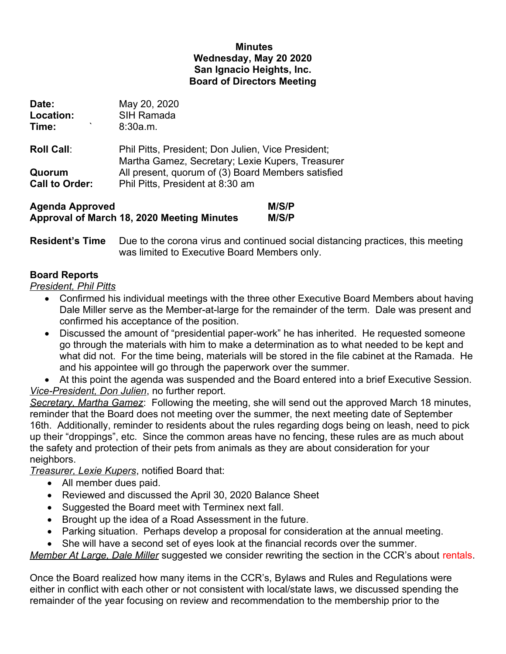## **Minutes Wednesday, May 20 2020 San Ignacio Heights, Inc. Board of Directors Meeting**

| Date:<br>Location:<br>۰<br>Time: | May 20, 2020<br><b>SIH Ramada</b><br>8:30a.m.                                                          |
|----------------------------------|--------------------------------------------------------------------------------------------------------|
| <b>Roll Call:</b>                | Phil Pitts, President; Don Julien, Vice President;<br>Martha Gamez, Secretary; Lexie Kupers, Treasurer |
| Quorum<br><b>Call to Order:</b>  | All present, quorum of (3) Board Members satisfied<br>Phil Pitts, President at 8:30 am                 |

| <b>Agenda Approved</b>                     | M/S/P |
|--------------------------------------------|-------|
| Approval of March 18, 2020 Meeting Minutes | M/S/P |

**Resident's Time** Due to the corona virus and continued social distancing practices, this meeting was limited to Executive Board Members only.

## **Board Reports**

*President, Phil Pitts*

- Confirmed his individual meetings with the three other Executive Board Members about having Dale Miller serve as the Member-at-large for the remainder of the term. Dale was present and confirmed his acceptance of the position.
- Discussed the amount of "presidential paper-work" he has inherited. He requested someone go through the materials with him to make a determination as to what needed to be kept and what did not. For the time being, materials will be stored in the file cabinet at the Ramada. He and his appointee will go through the paperwork over the summer.

 At this point the agenda was suspended and the Board entered into a brief Executive Session. *Vice-President, Don Julien*, no further report.

*Secretary, Martha Gamez*: Following the meeting, she will send out the approved March 18 minutes, reminder that the Board does not meeting over the summer, the next meeting date of September 16th. Additionally, reminder to residents about the rules regarding dogs being on leash, need to pick up their "droppings", etc. Since the common areas have no fencing, these rules are as much about the safety and protection of their pets from animals as they are about consideration for your neighbors.

*Treasurer, Lexie Kupers*, notified Board that:

- All member dues paid.
- Reviewed and discussed the April 30, 2020 Balance Sheet
- Suggested the Board meet with Terminex next fall.
- Brought up the idea of a Road Assessment in the future.
- Parking situation. Perhaps develop a proposal for consideration at the annual meeting.
- She will have a second set of eyes look at the financial records over the summer.

*Member At Large, Dale Miller* suggested we consider rewriting the section in the CCR's about rentals.

Once the Board realized how many items in the CCR's, Bylaws and Rules and Regulations were either in conflict with each other or not consistent with local/state laws, we discussed spending the remainder of the year focusing on review and recommendation to the membership prior to the